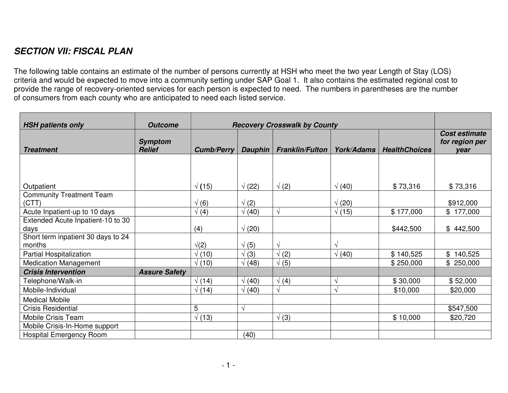## *SECTION VII: FISCAL PLAN*

The following table contains an estimate of the number of persons currently at HSH who meet the two year Length of Stay (LOS) criteria and would be expected to move into <sup>a</sup> community setting under SAP Goal 1. It also contains the estimated regional cost to provide the range of recovery-oriented services for each person is expected to need. The numbers in parentheses are the number of consumers from each county who are anticipated to need each listed service.

| <b>HSH patients only</b>                     | <b>Outcome</b>                  | <b>Recovery Crosswalk by County</b> |                |                        |                   |                      |                                         |
|----------------------------------------------|---------------------------------|-------------------------------------|----------------|------------------------|-------------------|----------------------|-----------------------------------------|
| <b>Treatment</b>                             | <b>Symptom</b><br><b>Relief</b> | <b>Cumb/Perry</b>                   | <b>Dauphin</b> | <b>Franklin/Fulton</b> | <b>York/Adams</b> | <b>HealthChoices</b> | Cost estimate<br>for region per<br>year |
|                                              |                                 |                                     |                |                        |                   |                      |                                         |
|                                              |                                 |                                     |                |                        |                   |                      |                                         |
| Outpatient                                   |                                 | $\sqrt(15)$                         | $\sqrt(22)$    | $\sqrt(2)$             | $\sqrt(40)$       | \$73,316             | \$73,316                                |
| <b>Community Treatment Team</b><br>(CTT)     |                                 | $\sqrt(6)$                          | $\sqrt(2)$     |                        | $\sqrt(20)$       |                      | \$912,000                               |
| Acute Inpatient-up to 10 days                |                                 | $\sqrt(4)$                          | $\sqrt(40)$    | $\sqrt{ }$             | $\sqrt(15)$       | \$177,000            | \$177,000                               |
| Extended Acute Inpatient-10 to 30<br>days    |                                 | (4)                                 | $\sqrt(20)$    |                        |                   | \$442,500            | \$442,500                               |
| Short term inpatient 30 days to 24<br>months |                                 | $\sqrt{2}$                          | $\sqrt(5)$     | $\sqrt{ }$             | $\sqrt{}$         |                      |                                         |
| Partial Hospitalization                      |                                 | $\sqrt(10)$                         | $\sqrt{(3)}$   | $\sqrt(2)$             | $\sqrt(40)$       | \$140,525            | \$140,525                               |
| <b>Medication Management</b>                 |                                 | $\sqrt(10)$                         | $\sqrt(48)$    | $\sqrt(5)$             |                   | \$250,000            | \$250,000                               |
| <b>Crisis Intervention</b>                   | <b>Assure Safety</b>            |                                     |                |                        |                   |                      |                                         |
| Telephone/Walk-in                            |                                 | $\sqrt{(14)}$                       | $\sqrt(40)$    | $\sqrt(4)$             | $\sqrt{}$         | \$30,000             | \$52,000                                |
| Mobile-Individual                            |                                 | $\sqrt(14)$                         | $\sqrt(40)$    | V                      | $\sqrt{}$         | \$10,000             | \$20,000                                |
| <b>Medical Mobile</b>                        |                                 |                                     |                |                        |                   |                      |                                         |
| <b>Crisis Residential</b>                    |                                 | 5                                   | V              |                        |                   |                      | \$547,500                               |
| Mobile Crisis Team                           |                                 | $\sqrt{(13)}$                       |                | (3)<br>$\sqrt{ }$      |                   | \$10,000             | \$20,720                                |
| Mobile Crisis-In-Home support                |                                 |                                     |                |                        |                   |                      |                                         |
| <b>Hospital Emergency Room</b>               |                                 |                                     | (40)           |                        |                   |                      |                                         |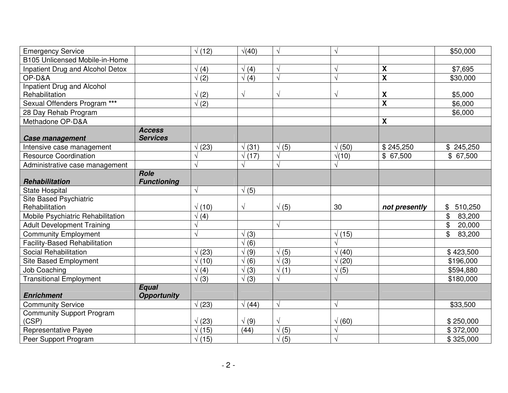| <b>Emergency Service</b>                                     |                    | $\sqrt(12)$   | $\sqrt{(40)}$ | $\sqrt{ }$               | $\sqrt{}$                  |                           | \$50,000                 |
|--------------------------------------------------------------|--------------------|---------------|---------------|--------------------------|----------------------------|---------------------------|--------------------------|
| B105 Unlicensed Mobile-in-Home                               |                    |               |               |                          |                            |                           |                          |
| Inpatient Drug and Alcohol Detox                             |                    | $\sqrt(4)$    | $\sqrt(4)$    | V                        | $\overline{\sqrt{2}}$      | $\pmb{\mathsf{X}}$        | \$7,695                  |
| OP-D&A                                                       |                    | $\sqrt(2)$    | $\sqrt(4)$    | $\sqrt{ }$               | J                          | $\overline{\mathbf{x}}$   | \$30,000                 |
| <b>Inpatient Drug and Alcohol</b>                            |                    |               |               |                          |                            |                           |                          |
| Rehabilitation                                               |                    | $\sqrt(2)$    | $\sqrt{}$     | $\sqrt{ }$               | $\overline{\sqrt{2}}$      | $\pmb{\mathsf{X}}$        | \$5,000                  |
| Sexual Offenders Program ***                                 |                    | $\sqrt(2)$    |               |                          |                            | $\overline{\mathbf{x}}$   | \$6,000                  |
| 28 Day Rehab Program                                         |                    |               |               |                          |                            |                           | \$6,000                  |
| Methadone OP-D&A                                             |                    |               |               |                          |                            | $\boldsymbol{\mathsf{X}}$ |                          |
|                                                              | <b>Access</b>      |               |               |                          |                            |                           |                          |
| <b>Case management</b>                                       | <b>Services</b>    |               |               |                          |                            |                           |                          |
| Intensive case management                                    |                    | (23)          | $\sqrt{(31)}$ | $\sqrt(5)$               | $\sqrt(50)$                | \$245,250                 | \$245,250                |
| <b>Resource Coordination</b>                                 |                    |               | $\sqrt{(17)}$ |                          | $\sqrt{(10)}$<br>$\sqrt{}$ | \$67,500                  | \$67,500                 |
| Administrative case management                               | <b>Role</b>        | V             | $\sqrt{ }$    | V                        |                            |                           |                          |
| <b>Rehabilitation</b>                                        | <b>Functioning</b> |               |               |                          |                            |                           |                          |
| <b>State Hospital</b>                                        |                    | $\sqrt{ }$    | $\sqrt(5)$    |                          |                            |                           |                          |
|                                                              |                    |               |               |                          |                            |                           |                          |
| <b>Site Based Psychiatric</b>                                |                    |               |               |                          |                            |                           |                          |
| Rehabilitation                                               |                    | $\sqrt(10)$   | $\sqrt{}$     | $\sqrt(5)$               | 30                         | not presently             | 510,250<br>\$            |
| Mobile Psychiatric Rehabilitation                            |                    | $\sqrt(4)$    |               |                          |                            |                           | $\mathfrak{P}$<br>83,200 |
| <b>Adult Development Training</b>                            |                    |               |               | $\sqrt{ }$               |                            |                           | \$<br>20,000             |
| <b>Community Employment</b>                                  |                    | V             | $\sqrt{(3)}$  |                          | $\sqrt(15)$                |                           | \$<br>83,200             |
| <b>Facility-Based Rehabilitation</b>                         |                    |               | $\sqrt(6)$    |                          | J                          |                           |                          |
| Social Rehabilitation                                        |                    | $\sqrt(23)$   | $\sqrt(9)$    | $\sqrt(5)$               | $\sqrt(40)$                |                           | \$423,500                |
| Site Based Employment                                        |                    | $\sqrt{(10)}$ | $\sqrt(6)$    | $\sqrt{(3)}$             | $\sqrt(20)$                |                           | \$196,000                |
| <b>Job Coaching</b>                                          |                    | $\sqrt(4)$    | $\sqrt{(3)}$  | $\sqrt(1)$               | $\sqrt(5)$                 |                           | \$594,880                |
| <b>Transitional Employment</b>                               |                    | $\sqrt{(3)}$  | $\sqrt{(3)}$  |                          |                            |                           | \$180,000                |
| <b>Enrichment</b>                                            | <b>Equal</b>       |               |               |                          |                            |                           |                          |
|                                                              | <b>Opportunity</b> |               |               | $\sqrt{ }$               | $\sqrt{}$                  |                           | \$33,500                 |
| <b>Community Service</b><br><b>Community Support Program</b> |                    | $\sqrt(23)$   | $\sqrt{(44)}$ |                          |                            |                           |                          |
| (CSP)                                                        |                    | $\sqrt(23)$   | $\sqrt(9)$    | $\sqrt{}$                | $\sqrt(60)$                |                           | \$250,000                |
| <b>Representative Payee</b>                                  |                    | $\sqrt(15)$   | (44)          | $\sqrt(5)$<br>$\sqrt(5)$ | V                          |                           | \$372,000                |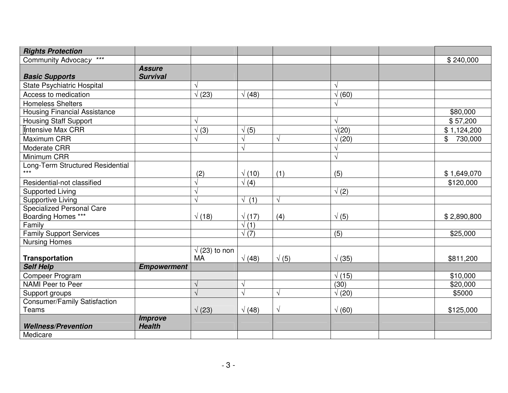| <b>Rights Protection</b>                                                                                                                                                                                                                                                                                                             |                                                       |                                                                   |                                                                                                    |                                               |                                                                                                      |                                                                      |
|--------------------------------------------------------------------------------------------------------------------------------------------------------------------------------------------------------------------------------------------------------------------------------------------------------------------------------------|-------------------------------------------------------|-------------------------------------------------------------------|----------------------------------------------------------------------------------------------------|-----------------------------------------------|------------------------------------------------------------------------------------------------------|----------------------------------------------------------------------|
| $\star\star\star$<br>Community Advocacy                                                                                                                                                                                                                                                                                              |                                                       |                                                                   |                                                                                                    |                                               |                                                                                                      | \$240,000                                                            |
|                                                                                                                                                                                                                                                                                                                                      | <b>Assure</b>                                         |                                                                   |                                                                                                    |                                               |                                                                                                      |                                                                      |
| <b>Basic Supports</b>                                                                                                                                                                                                                                                                                                                | <b>Survival</b>                                       |                                                                   |                                                                                                    |                                               |                                                                                                      |                                                                      |
| <b>State Psychiatric Hospital</b>                                                                                                                                                                                                                                                                                                    |                                                       |                                                                   |                                                                                                    |                                               | $\sqrt{}$                                                                                            |                                                                      |
| Access to medication                                                                                                                                                                                                                                                                                                                 |                                                       | $\sqrt(23)$                                                       | $\sqrt{(48)}$                                                                                      |                                               | $\sqrt(60)$                                                                                          |                                                                      |
| <b>Homeless Shelters</b>                                                                                                                                                                                                                                                                                                             |                                                       |                                                                   |                                                                                                    |                                               | $\sqrt{}$                                                                                            |                                                                      |
| <b>Housing Financial Assistance</b>                                                                                                                                                                                                                                                                                                  |                                                       |                                                                   |                                                                                                    |                                               |                                                                                                      | \$80,000                                                             |
| <b>Housing Staff Support</b>                                                                                                                                                                                                                                                                                                         |                                                       |                                                                   |                                                                                                    |                                               | $\sqrt{}$                                                                                            | \$57,200                                                             |
| Intensive Max CRR                                                                                                                                                                                                                                                                                                                    |                                                       | $\sqrt{(3)}$                                                      | $\sqrt(5)$                                                                                         |                                               | $\sqrt{(20)}$                                                                                        | \$1,124,200                                                          |
| Maximum CRR                                                                                                                                                                                                                                                                                                                          |                                                       |                                                                   |                                                                                                    |                                               | $\sqrt(20)$                                                                                          | \$<br>730,000                                                        |
| Moderate CRR                                                                                                                                                                                                                                                                                                                         |                                                       |                                                                   |                                                                                                    |                                               | $\sqrt{}$                                                                                            |                                                                      |
| Minimum CRR                                                                                                                                                                                                                                                                                                                          |                                                       |                                                                   |                                                                                                    |                                               | $\sqrt{}$                                                                                            |                                                                      |
| Long-Term Structured Residential                                                                                                                                                                                                                                                                                                     |                                                       |                                                                   |                                                                                                    |                                               |                                                                                                      |                                                                      |
|                                                                                                                                                                                                                                                                                                                                      |                                                       | (2)                                                               | $\sqrt(10)$                                                                                        | (1)                                           | (5)                                                                                                  | \$1,649,070                                                          |
| Residential-not classified                                                                                                                                                                                                                                                                                                           |                                                       | V                                                                 |                                                                                                    |                                               |                                                                                                      | \$120,000                                                            |
| <b>Supported Living</b>                                                                                                                                                                                                                                                                                                              |                                                       | $\sqrt{ }$                                                        |                                                                                                    |                                               | $\sqrt(2)$                                                                                           |                                                                      |
| <b>Supportive Living</b>                                                                                                                                                                                                                                                                                                             |                                                       | $\sqrt{ }$                                                        | $\sqrt{(1)}$                                                                                       | $\sqrt{ }$                                    |                                                                                                      |                                                                      |
|                                                                                                                                                                                                                                                                                                                                      |                                                       |                                                                   |                                                                                                    |                                               |                                                                                                      |                                                                      |
|                                                                                                                                                                                                                                                                                                                                      |                                                       |                                                                   |                                                                                                    |                                               |                                                                                                      | \$2,890,800                                                          |
|                                                                                                                                                                                                                                                                                                                                      |                                                       |                                                                   |                                                                                                    |                                               |                                                                                                      |                                                                      |
|                                                                                                                                                                                                                                                                                                                                      |                                                       |                                                                   |                                                                                                    |                                               |                                                                                                      |                                                                      |
|                                                                                                                                                                                                                                                                                                                                      |                                                       |                                                                   |                                                                                                    |                                               |                                                                                                      |                                                                      |
|                                                                                                                                                                                                                                                                                                                                      |                                                       |                                                                   |                                                                                                    |                                               |                                                                                                      |                                                                      |
|                                                                                                                                                                                                                                                                                                                                      |                                                       |                                                                   |                                                                                                    |                                               |                                                                                                      |                                                                      |
|                                                                                                                                                                                                                                                                                                                                      |                                                       |                                                                   |                                                                                                    |                                               |                                                                                                      |                                                                      |
|                                                                                                                                                                                                                                                                                                                                      |                                                       |                                                                   |                                                                                                    |                                               |                                                                                                      |                                                                      |
|                                                                                                                                                                                                                                                                                                                                      |                                                       |                                                                   |                                                                                                    |                                               |                                                                                                      |                                                                      |
|                                                                                                                                                                                                                                                                                                                                      |                                                       |                                                                   |                                                                                                    |                                               |                                                                                                      |                                                                      |
|                                                                                                                                                                                                                                                                                                                                      |                                                       |                                                                   |                                                                                                    |                                               |                                                                                                      |                                                                      |
|                                                                                                                                                                                                                                                                                                                                      |                                                       |                                                                   |                                                                                                    |                                               |                                                                                                      |                                                                      |
|                                                                                                                                                                                                                                                                                                                                      |                                                       |                                                                   |                                                                                                    |                                               |                                                                                                      |                                                                      |
|                                                                                                                                                                                                                                                                                                                                      |                                                       |                                                                   |                                                                                                    |                                               |                                                                                                      |                                                                      |
| $***$<br><b>Specialized Personal Care</b><br>Boarding Homes ***<br>Family<br><b>Family Support Services</b><br><b>Nursing Homes</b><br><b>Transportation</b><br><b>Self Help</b><br>Compeer Program<br>NAMI Peer to Peer<br>Support groups<br><b>Consumer/Family Satisfaction</b><br>Teams<br><b>Wellness/Prevention</b><br>Medicare | <b>Empowerment</b><br><b>Improve</b><br><b>Health</b> | $\sqrt{(18)}$<br>$\sqrt(23)$ to non<br><b>MA</b><br>$\sqrt{(23)}$ | $\sqrt(4)$<br>$\sqrt{(17)}$<br>$\sqrt{(1)}$<br>$\sqrt{(7)}$<br>$\sqrt{(48)}$<br>V<br>$\sqrt{(48)}$ | (4)<br>$\sqrt(5)$<br>$\sqrt{ }$<br>$\sqrt{ }$ | $\sqrt(5)$<br>$\overline{(5)}$<br>$\sqrt{(35)}$<br>$\sqrt(15)$<br>(30)<br>$\sqrt(20)$<br>$\sqrt(60)$ | \$25,000<br>\$811,200<br>\$10,000<br>\$20,000<br>\$5000<br>\$125,000 |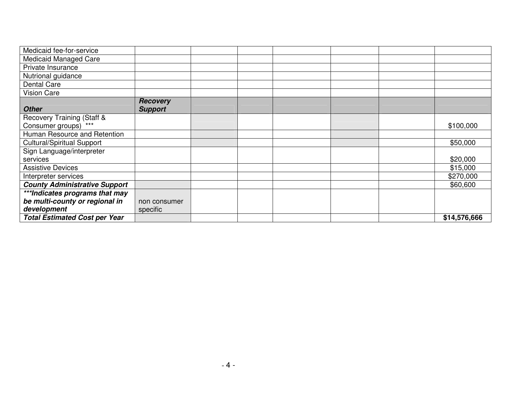| Medicaid fee-for-service             |                 |  |  |              |
|--------------------------------------|-----------------|--|--|--------------|
| <b>Medicaid Managed Care</b>         |                 |  |  |              |
| Private Insurance                    |                 |  |  |              |
| Nutrional guidance                   |                 |  |  |              |
| <b>Dental Care</b>                   |                 |  |  |              |
| <b>Vision Care</b>                   |                 |  |  |              |
|                                      | <b>Recovery</b> |  |  |              |
| <b>Other</b>                         | <b>Support</b>  |  |  |              |
| Recovery Training (Staff &           |                 |  |  |              |
| Consumer groups) ***                 |                 |  |  | \$100,000    |
| Human Resource and Retention         |                 |  |  |              |
| <b>Cultural/Spiritual Support</b>    |                 |  |  | \$50,000     |
| Sign Language/interpreter            |                 |  |  |              |
| services                             |                 |  |  | \$20,000     |
| <b>Assistive Devices</b>             |                 |  |  | \$15,000     |
| Interpreter services                 |                 |  |  | \$270,000    |
| <b>County Administrative Support</b> |                 |  |  | \$60,600     |
| ***Indicates programs that may       |                 |  |  |              |
| be multi-county or regional in       | non consumer    |  |  |              |
| development                          | specific        |  |  |              |
| <b>Total Estimated Cost per Year</b> |                 |  |  | \$14,576,666 |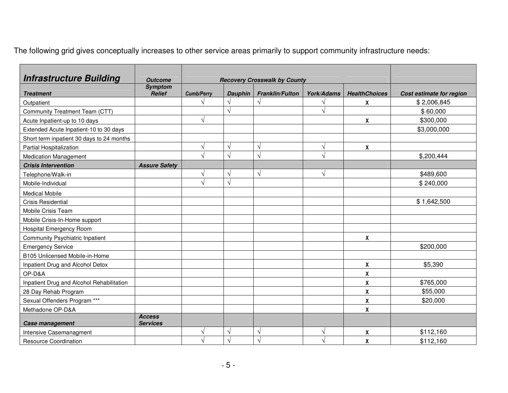The following grid gives conceptually increases to other service areas primarily to support community infrastructure needs:

| <b>Infrastructure Building</b>            | <b>Outcome</b>                   | <b>Recovery Crosswalk by County</b> |                   |                        |            |                      |                          |
|-------------------------------------------|----------------------------------|-------------------------------------|-------------------|------------------------|------------|----------------------|--------------------------|
| <b>Treatment</b>                          | <b>Symptom</b><br><b>Relief</b>  | <b>Cumb/Perry</b>                   | <b>Dauphin</b>    | <b>Franklin/Fulton</b> | York/Adams | <b>HealthChoices</b> | Cost estimate for region |
| Outpatient                                |                                  | V                                   | $\sqrt{ }$        |                        |            | X                    | \$2,006,845              |
| Community Treatment Team (CTT)            |                                  |                                     | $\sqrt{ }$        |                        |            |                      | \$60,000                 |
| Acute Inpatient-up to 10 days             |                                  | $\sqrt{}$                           |                   |                        |            | X                    | \$300,000                |
| Extended Acute Inpatient-10 to 30 days    |                                  |                                     |                   |                        |            |                      | \$3,000,000              |
| Short term inpatient 30 days to 24 months |                                  |                                     |                   |                        |            |                      |                          |
| Partial Hospitalization                   |                                  | V                                   | $\mathcal{N}$     | ٦                      |            | X                    |                          |
| <b>Medication Management</b>              |                                  |                                     | $\mathcal{N}$     |                        |            |                      | \$,200,444               |
| <b>Crisis Intervention</b>                | <b>Assure Safety</b>             |                                     |                   |                        |            |                      |                          |
| Telephone/Walk-in                         |                                  | $\sqrt{}$                           | $\sqrt{ }$        | $\sqrt{ }$             |            |                      | \$489,600                |
| Mobile-Individual                         |                                  | $\sqrt{ }$                          | $\sqrt{ }$        |                        |            |                      | \$240,000                |
| <b>Medical Mobile</b>                     |                                  |                                     |                   |                        |            |                      |                          |
| <b>Crisis Residential</b>                 |                                  |                                     |                   |                        |            |                      | \$1,642,500              |
| Mobile Crisis Team                        |                                  |                                     |                   |                        |            |                      |                          |
| Mobile Crisis-In-Home support             |                                  |                                     |                   |                        |            |                      |                          |
| Hospital Emergency Room                   |                                  |                                     |                   |                        |            |                      |                          |
| <b>Community Psychiatric Inpatient</b>    |                                  |                                     |                   |                        |            | X                    |                          |
| <b>Emergency Service</b>                  |                                  |                                     |                   |                        |            |                      | \$200,000                |
| B105 Unlicensed Mobile-in-Home            |                                  |                                     |                   |                        |            |                      |                          |
| Inpatient Drug and Alcohol Detox          |                                  |                                     |                   |                        |            | X                    | \$5,390                  |
| OP-D&A                                    |                                  |                                     |                   |                        |            | X                    |                          |
| Inpatient Drug and Alcohol Rehabilitation |                                  |                                     |                   |                        |            | $\pmb{\mathsf{X}}$   | \$765,000                |
| 28 Day Rehab Program                      |                                  |                                     |                   |                        |            | $\pmb{\chi}$         | \$55,000                 |
| Sexual Offenders Program ***              |                                  |                                     |                   |                        |            | X                    | \$20,000                 |
| Methadone OP-D&A                          |                                  |                                     |                   |                        |            | X                    |                          |
| Case management                           | <b>Access</b><br><b>Services</b> |                                     |                   |                        |            |                      |                          |
| Intensive Casemanagment                   |                                  | V                                   | $\sqrt{ }$        | V                      |            | X                    | \$112,160                |
| <b>Resource Coordination</b>              |                                  | N                                   | $\mathbf \lambda$ |                        |            | $\pmb{\mathsf{X}}$   | \$112,160                |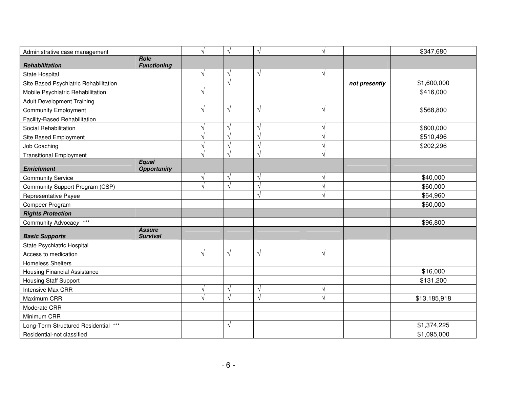| Administrative case management        |                                  | V         | $\sqrt{}$  | $\sqrt{}$     | $\sqrt{}$  |               | \$347,680    |
|---------------------------------------|----------------------------------|-----------|------------|---------------|------------|---------------|--------------|
| Rehabilitation                        | Role<br><b>Functioning</b>       |           |            |               |            |               |              |
| <b>State Hospital</b>                 |                                  | $\sqrt{}$ | $\sqrt{ }$ | $\sqrt{ }$    | $\sqrt{ }$ |               |              |
| Site Based Psychiatric Rehabilitation |                                  |           | $\sqrt{ }$ |               |            | not presently | \$1,600,000  |
| Mobile Psychiatric Rehabilitation     |                                  |           |            |               |            |               | \$416,000    |
| <b>Adult Development Training</b>     |                                  |           |            |               |            |               |              |
| <b>Community Employment</b>           |                                  |           | $\sqrt{ }$ | $\sqrt{ }$    | V          |               | \$568,800    |
| Facility-Based Rehabilitation         |                                  |           |            |               |            |               |              |
| Social Rehabilitation                 |                                  |           | $\sqrt{ }$ | $\sqrt{ }$    | V          |               | \$800,000    |
| Site Based Employment                 |                                  |           | $\sqrt{ }$ | $\sqrt{ }$    |            |               | \$510,496    |
| Job Coaching                          |                                  |           | $\sqrt{ }$ | $\sqrt{ }$    |            |               | \$202,296    |
| <b>Transitional Employment</b>        |                                  |           | $\sqrt{ }$ | $\sqrt{ }$    |            |               |              |
| <b>Enrichment</b>                     | Equal<br><b>Opportunity</b>      |           |            |               |            |               |              |
| <b>Community Service</b>              |                                  |           | $\sqrt{ }$ | $\sqrt{ }$    |            |               | \$40,000     |
| Community Support Program (CSP)       |                                  |           | $\sqrt{ }$ | $\sqrt{ }$    |            |               | \$60,000     |
| Representative Payee                  |                                  |           |            | $\mathcal{N}$ |            |               | \$64,960     |
| Compeer Program                       |                                  |           |            |               |            |               | \$60,000     |
| <b>Rights Protection</b>              |                                  |           |            |               |            |               |              |
| Community Advocacy ***                |                                  |           |            |               |            |               | \$96,800     |
| <b>Basic Supports</b>                 | <b>Assure</b><br><b>Survival</b> |           |            |               |            |               |              |
| State Psychiatric Hospital            |                                  |           |            |               |            |               |              |
| Access to medication                  |                                  |           | $\sqrt{}$  | $\sqrt{ }$    | $\sqrt{ }$ |               |              |
| <b>Homeless Shelters</b>              |                                  |           |            |               |            |               |              |
| <b>Housing Financial Assistance</b>   |                                  |           |            |               |            |               | \$16,000     |
| <b>Housing Staff Support</b>          |                                  |           |            |               |            |               | \$131,200    |
| <b>Intensive Max CRR</b>              |                                  |           | $\sqrt{ }$ | $\sqrt{ }$    | ٦          |               |              |
| Maximum CRR                           |                                  |           | $\sqrt{ }$ | $\sqrt{ }$    |            |               | \$13,185,918 |
| Moderate CRR                          |                                  |           |            |               |            |               |              |
| Minimum CRR                           |                                  |           |            |               |            |               |              |
| Long-Term Structured Residential ***  |                                  |           | $\sqrt{}$  |               |            |               | \$1,374,225  |
| Residential-not classified            |                                  |           |            |               |            |               | \$1,095,000  |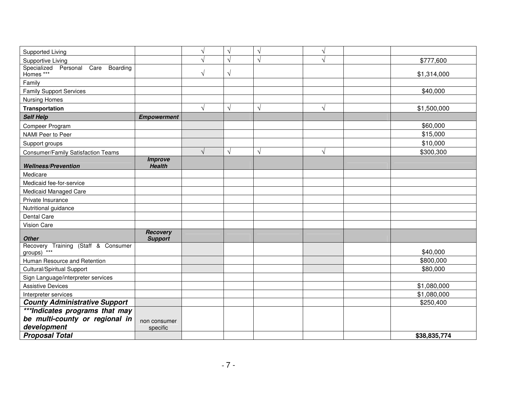| Supported Living                                         |                                 | V          | $\sqrt{}$ | $\sqrt{ }$ | $\mathbf{v}$ |              |
|----------------------------------------------------------|---------------------------------|------------|-----------|------------|--------------|--------------|
| Supportive Living                                        |                                 |            | $\sqrt{}$ | $\sqrt{ }$ |              | \$777,600    |
| Specialized<br>Personal<br>$\overline{Care}$<br>Boarding |                                 |            |           |            |              |              |
| Homes ***                                                |                                 | $\sqrt{}$  | $\sqrt{}$ |            |              | \$1,314,000  |
| Family                                                   |                                 |            |           |            |              |              |
| <b>Family Support Services</b>                           |                                 |            |           |            |              | \$40,000     |
| Nursing Homes                                            |                                 |            |           |            |              |              |
| Transportation                                           |                                 | V          | $\sqrt{}$ | $\sqrt{ }$ | $\sqrt{}$    | \$1,500,000  |
| <b>Self Help</b>                                         | <b>Empowerment</b>              |            |           |            |              |              |
| Compeer Program                                          |                                 |            |           |            |              | \$60,000     |
| NAMI Peer to Peer                                        |                                 |            |           |            |              | \$15,000     |
| Support groups                                           |                                 |            |           |            |              | \$10,000     |
| <b>Consumer/Family Satisfaction Teams</b>                |                                 | $\sqrt{ }$ | $\sqrt{}$ | $\sqrt{ }$ | $\sqrt{ }$   | \$300,300    |
| <b>Wellness/Prevention</b>                               | <b>Improve</b><br><b>Health</b> |            |           |            |              |              |
| Medicare                                                 |                                 |            |           |            |              |              |
| Medicaid fee-for-service                                 |                                 |            |           |            |              |              |
| Medicaid Managed Care                                    |                                 |            |           |            |              |              |
| Private Insurance                                        |                                 |            |           |            |              |              |
| Nutritional guidance                                     |                                 |            |           |            |              |              |
| Dental Care                                              |                                 |            |           |            |              |              |
| Vision Care                                              |                                 |            |           |            |              |              |
| <b>Other</b>                                             | Recovery<br><b>Support</b>      |            |           |            |              |              |
| Recovery Training (Staff & Consumer<br>groups) ***       |                                 |            |           |            |              | \$40,000     |
| Human Resource and Retention                             |                                 |            |           |            |              | \$800,000    |
| <b>Cultural/Spiritual Support</b>                        |                                 |            |           |            |              | \$80,000     |
| Sign Language/interpreter services                       |                                 |            |           |            |              |              |
| <b>Assistive Devices</b>                                 |                                 |            |           |            |              | \$1,080,000  |
| Interpreter services                                     |                                 |            |           |            |              | \$1,080,000  |
| <b>County Administrative Support</b>                     |                                 |            |           |            |              | \$250,400    |
| ***Indicates programs that may                           |                                 |            |           |            |              |              |
| be multi-county or regional in                           | non consumer                    |            |           |            |              |              |
| development                                              | specific                        |            |           |            |              |              |
| <b>Proposal Total</b>                                    |                                 |            |           |            |              | \$38,835,774 |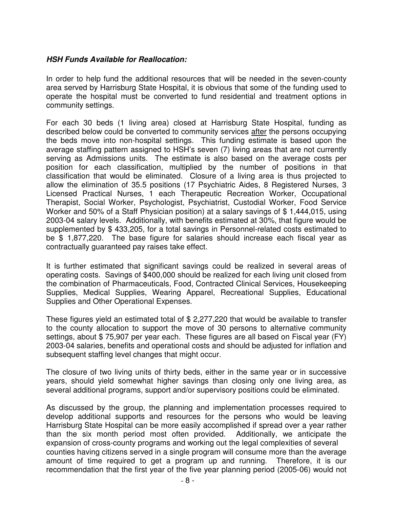## *HSH Funds Available for Reallocation:*

In order to help fund the additional resources that will be needed in the seven-county area served by Harrisburg State Hospital, it is obvious that some of the funding used to operate the hospital must be converted to fund residential and treatment options in community settings.

For each 30 beds (1 living area) closed at Harrisburg State Hospital, funding as described below could be converted to community services after the persons occupying the beds move into non-hospital settings. This funding estimate is based upon the average staffing pattern assigned to HSH's seven (7) living areas that are not currently serving as Admissions units. The estimate is also based on the average costs per position for each classification, multiplied by the number of positions in that classification that would be eliminated. Closure of a living area is thus projected to allow the elimination of 35.5 positions (17 Psychiatric Aides, 8 Registered Nurses, 3 Licensed Practical Nurses, 1 each Therapeutic Recreation Worker, Occupational Therapist, Social Worker, Psychologist, Psychiatrist, Custodial Worker, Food Service Worker and 50% of a Staff Physician position) at a salary savings of \$1,444,015, using 2003-04 salary levels. Additionally, with benefits estimated at 30%, that figure would be supplemented by \$ 433,205, for a total savings in Personnel-related costs estimated to be \$ 1,877,220. The base figure for salaries should increase each fiscal year as contractually guaranteed pay raises take effect.

It is further estimated that significant savings could be realized in several areas of operating costs. Savings of \$400,000 should be realized for each living unit closed from the combination of Pharmaceuticals, Food, Contracted Clinical Services, Housekeeping Supplies, Medical Supplies, Wearing Apparel, Recreational Supplies, Educational Supplies and Other Operational Expenses.

These figures yield an estimated total of \$ 2,277,220 that would be available to transfer to the county allocation to support the move of 30 persons to alternative community settings, about \$ 75,907 per year each. These figures are all based on Fiscal year (FY) 2003-04 salaries, benefits and operational costs and should be adjusted for inflation and subsequent staffing level changes that might occur.

The closure of two living units of thirty beds, either in the same year or in successive years, should yield somewhat higher savings than closing only one living area, as several additional programs, support and/or supervisory positions could be eliminated.

As discussed by the group, the planning and implementation processes required to develop additional supports and resources for the persons who would be leaving Harrisburg State Hospital can be more easily accomplished if spread over a year rather than the six month period most often provided. Additionally, we anticipate the expansion of cross-county programs and working out the legal complexities of several counties having citizens served in a single program will consume more than the average amount of time required to get a program up and running. Therefore, it is our recommendation that the first year of the five year planning period (2005-06) would not